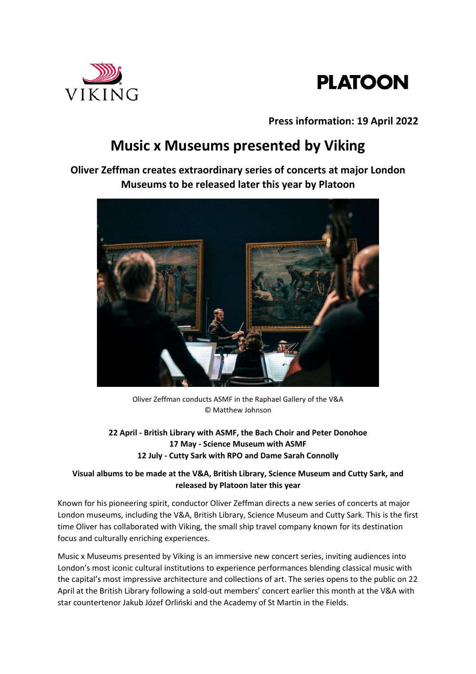



**Press information: 19 April 2022**

# **Music x Museums presented by Viking**

**Oliver Zeffman creates extraordinary series of concerts at major London Museums to be released later this year by Platoon**



Oliver Zeffman conducts ASMF in the Raphael Gallery of the V&A © Matthew Johnson

**22 April - British Library with ASMF, the Bach Choir and Peter Donohoe 17 May - Science Museum with ASMF 12 July - Cutty Sark with RPO and Dame Sarah Connolly**

## **Visual albums to be made at the V&A, British Library, Science Museum and Cutty Sark, and released by Platoon later this year**

Known for his pioneering spirit, conductor Oliver Zeffman directs a new series of concerts at major London museums, including the V&A, British Library, Science Museum and Cutty Sark. This is the first time Oliver has collaborated with Viking, the small ship travel company known for its destination focus and culturally enriching experiences.

Music x Museums presented by Viking is an immersive new concert series, inviting audiences into London's most iconic cultural institutions to experience performances blending classical music with the capital's most impressive architecture and collections of art. The series opens to the public on 22 April at the British Library following a sold-out members' concert earlier this month at the V&A with star countertenor Jakub Józef Orliński and the Academy of St Martin in the Fields.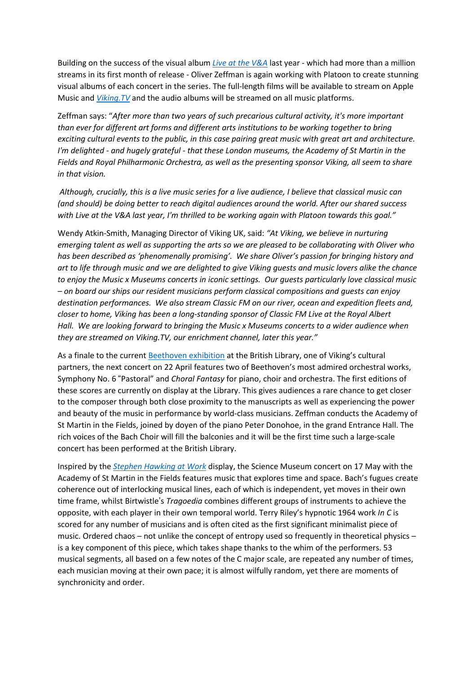Building on the success of the visual album *Live at the [V&A](https://platoon.lnk.to/liveatthevanda)* last year - which had more than a million streams in its first month of release - Oliver Zeffman is again working with Platoon to create stunning visual albums of each concert in the series. The full-length films will be available to stream on Apple Music and *[Viking.TV](https://viking.tv/)* and the audio albums will be streamed on all music platforms.

Zeffman says: "*After more than two years of such precarious cultural activity, it's more important than ever for different art forms and different arts institutions to be working together to bring exciting cultural events to the public, in this case pairing great music with great art and architecture. I'm delighted - and hugely grateful - that these London museums, the Academy of St Martin in the Fields and Royal Philharmonic Orchestra, as well as the presenting sponsor Viking, all seem to share in that vision.*

Although, crucially, this is a live music series for a live audience, I believe that classical music can *(and should) be doing better to reach digital audiences around the world. After our shared success with Live at the V&A last year, I'm thrilled to be working again with Platoon towards this goal."*

Wendy Atkin-Smith, Managing Director of Viking UK, said: *"At Viking, we believe in nurturing* emerging talent as well as supporting the arts so we are pleased to be collaborating with Oliver who *has been described as 'phenomenally promising'. We share Oliver's passion for bringing history and* art to life through music and we are delighted to give Viking guests and music lovers alike the chance *to enjoy the Music x Museums concerts in iconic settings. Our guests particularly love classical music – on board our ships our resident musicians perform classical compositions and guests can enjoy destination performances. We also stream Classic FM on our river, ocean and expedition fleets and, closer to home, Viking has been a long-standing sponsor of Classic FM Live at the Royal Albert Hall. We are looking forward to bringing the Music x Museums concerts to a wider audience when they are streamed on Viking.TV, our enrichment channel, later this year."*

As a finale to the current [Beethoven](https://blogs.bl.uk/music/2021/12/beethoven-idealist-innovator-icon-exhibition.html) exhibition at the British Library, one of Viking's cultural partners, the next concert on 22 April features two of Beethoven's most admired orchestral works, Symphony No. 6 "Pastoral" and *Choral Fantasy* for piano, choir and orchestra. The first editions of these scores are currently on display at the Library. This gives audiences a rare chance to get closer to the composer through both close proximity to the manuscripts as well as experiencing the power and beauty of the music in performance by world-class musicians. Zeffman conducts the Academy of St Martin in the Fields, joined by doyen of the piano Peter Donohoe, in the grand Entrance Hall. The rich voices of the Bach Choir will fill the balconies and it will be the first time such a large-scale concert has been performed at the British Library.

Inspired by the *Stephen [Hawking](https://www.sciencemuseum.org.uk/see-and-do/stephen-hawking-work) at Work* display, the Science Museum concert on 17 May with the Academy of St Martin in the Fields features music that explores time and space. Bach's fugues create coherence out of interlocking musical lines, each of which is independent, yet moves in their own time frame, whilst Birtwistle's *Tragoedia* combines different groups of instruments to achieve the opposite, with each player in their own temporal world. Terry Riley's hypnotic 1964 work *In C* is scored for any number of musicians and is often cited as the first significant minimalist piece of music. Ordered chaos – not unlike the concept of entropy used so frequently in theoretical physics – is a key component of this piece, which takes shape thanks to the whim of the performers. 53 musical segments, all based on a few notes of the C major scale, are repeated any number of times, each musician moving at their own pace; it is almost wilfully random, yet there are moments of synchronicity and order.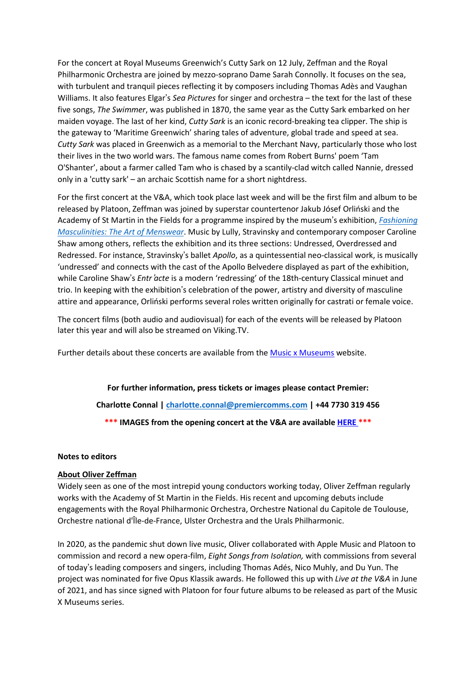For the concert at Royal Museums Greenwich's Cutty Sark on 12 July, Zeffman and the Royal Philharmonic Orchestra are joined by mezzo-soprano Dame Sarah Connolly. It focuses on the sea, with turbulent and tranquil pieces reflecting it by composers including Thomas Adès and Vaughan Williams. It also features Elgar's *Sea Pictures* for singer and orchestra – the text for the last of these five songs, *The Swimmer*, was published in 1870, the same year as the Cutty Sark embarked on her maiden voyage. The last of her kind, *Cutty Sark* is an iconic record-breaking tea clipper. The ship is the gateway to 'Maritime Greenwich' sharing tales of adventure, global trade and speed at sea. *Cutty Sark* was placed in Greenwich as a memorial to the Merchant Navy, particularly those who lost their lives in the two world wars. The famous name comes from Robert Burns' poem 'Tam O'Shanter', about a farmer called Tam who is chased by a scantily-clad witch called Nannie, dressed only in a 'cutty sark' – an archaic Scottish name for a short nightdress.

For the first concert at the V&A, which took place last week and will be the first film and album to be released by Platoon, Zeffman was joined by superstar countertenor Jakub Jósef Orliński and the Academy of St Martin in the Fields for a programme inspired by the museum's exhibition, *[Fashioning](https://www.vam.ac.uk/exhibitions/fashioning-masculinities-the-art-of-menswear) [Masculinities:](https://www.vam.ac.uk/exhibitions/fashioning-masculinities-the-art-of-menswear) The Art of Menswear*. Music by Lully, Stravinsky and contemporary composer Caroline Shaw among others, reflects the exhibition and its three sections: Undressed, Overdressed and Redressed. For instance, Stravinsky's ballet *Apollo*, as a quintessential neo-classical work, is musically 'undressed' and connects with the cast of the Apollo Belvedere displayed as part of the exhibition, while Caroline Shaw's *Entr*'*acte* is a modern 'redressing' of the 18th-century Classical minuet and trio. In keeping with the exhibition's celebration of the power, artistry and diversity of masculine attire and appearance, Orliński performs several roles written originally for castrati or female voice.

The concert films (both audio and audiovisual) for each of the events will be released by Platoon later this year and will also be streamed on Viking.TV.

Further details about these concerts are available from the **Music x [Museums](https://www.musicxmuseums.com/)** website.

**For further information, press tickets or images please contact Premier: Charlotte Connal | charlotte.connal@premiercomms.com | +44 7730 319 456 \*\*\* IMAGES from the opening concert at the V&A are available [HERE](https://www.dropbox.com/sh/hv8y0ccdncz7wnl/AACbLQ7yNIxUzayFXgbcSsl8a?dl=0) \*\*\***

#### **Notes to editors**

#### **About Oliver Zeffman**

Widely seen as one of the most intrepid young conductors working today, Oliver Zeffman regularly works with the Academy of St Martin in the Fields. His recent and upcoming debuts include engagements with the Royal Philharmonic Orchestra, Orchestre National du Capitole de Toulouse, Orchestre national d'Île-de-France, Ulster Orchestra and the Urals Philharmonic.

In 2020, as the pandemic shut down live music, Oliver collaborated with Apple Music and Platoon to commission and record a new opera-film, *Eight Songs from Isolation,* with commissions from several of today's leading composers and singers, including Thomas Adés, Nico Muhly, and Du Yun. The project was nominated for five Opus Klassik awards. He followed this up with *Live at the V&A* in June of 2021, and has since signed with Platoon for four future albums to be released as part of the Music X Museums series.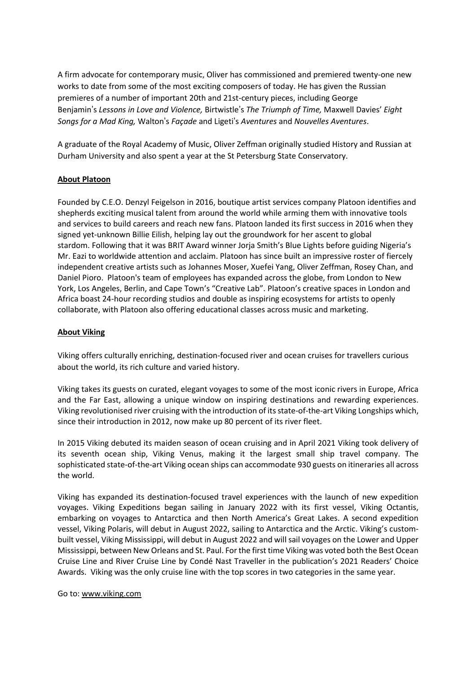A firm advocate for contemporary music, Oliver has commissioned and premiered twenty-one new works to date from some of the most exciting composers of today. He has given the Russian premieres of a number of important 20th and 21st-century pieces, including George Benjamin's *Lessons in Love and Violence,* Birtwistle's *The Triumph of Time,* Maxwell Davies' *Eight Songs for a Mad King,* Walton's *Façade* and Ligeti's *Aventures* and *Nouvelles Aventures*.

A graduate of the Royal Academy of Music, Oliver Zeffman originally studied History and Russian at Durham University and also spent a year at the St Petersburg State Conservatory.

### **About Platoon**

Founded by C.E.O. Denzyl Feigelson in 2016, boutique artist services company Platoon identifies and shepherds exciting musical talent from around the world while arming them with innovative tools and services to build careers and reach new fans. Platoon landed its first success in 2016 when they signed yet-unknown Billie Eilish, helping lay out the groundwork for her ascent to global stardom. Following that it was BRIT Award winner Jorja Smith's Blue Lights before guiding Nigeria's Mr. Eazi to worldwide attention and acclaim. Platoon has since built an impressive roster of fiercely independent creative artists such as Johannes Moser, Xuefei Yang, Oliver Zeffman, Rosey Chan, and Daniel Pioro. Platoon's team of employees has expanded across the globe, from London to New York, Los Angeles, Berlin, and Cape Town's "Creative Lab". Platoon's creative spaces in London and Africa boast 24-hour recording studios and double as inspiring ecosystems for artists to openly collaborate, with Platoon also offering educational classes across music and marketing.

### **About Viking**

Viking offers culturally enriching, destination-focused river and ocean cruises for travellers curious about the world, its rich culture and varied history.

Viking takes its guests on curated, elegant voyages to some of the most iconic rivers in Europe, Africa and the Far East, allowing a unique window on inspiring destinations and rewarding experiences. Viking revolutionised river cruising with the introduction of itsstate-of-the-art Viking Longships which, since their introduction in 2012, now make up 80 percent of its river fleet.

In 2015 Viking debuted its maiden season of ocean cruising and in April 2021 Viking took delivery of its seventh ocean ship, Viking Venus, making it the largest small ship travel company. The sophisticated state-of-the-art Viking ocean ships can accommodate 930 guests on itineraries all across the world.

Viking has expanded its destination-focused travel experiences with the launch of new expedition voyages. Viking Expeditions began sailing in January 2022 with its first vessel, Viking Octantis, embarking on voyages to Antarctica and then North America's Great Lakes. A second expedition vessel, Viking Polaris, will debut in August 2022, sailing to Antarctica and the Arctic. Viking's custombuilt vessel, Viking Mississippi, will debut in August 2022 and will sail voyages on the Lower and Upper Mississippi, between New Orleans and St. Paul. For the first time Viking was voted both the Best Ocean Cruise Line and River Cruise Line by Condé Nast Traveller in the publication's 2021 Readers' Choice Awards. Viking was the only cruise line with the top scores in two categories in the same year.

Go to: [www.viking.com](http://www.viking.com/)